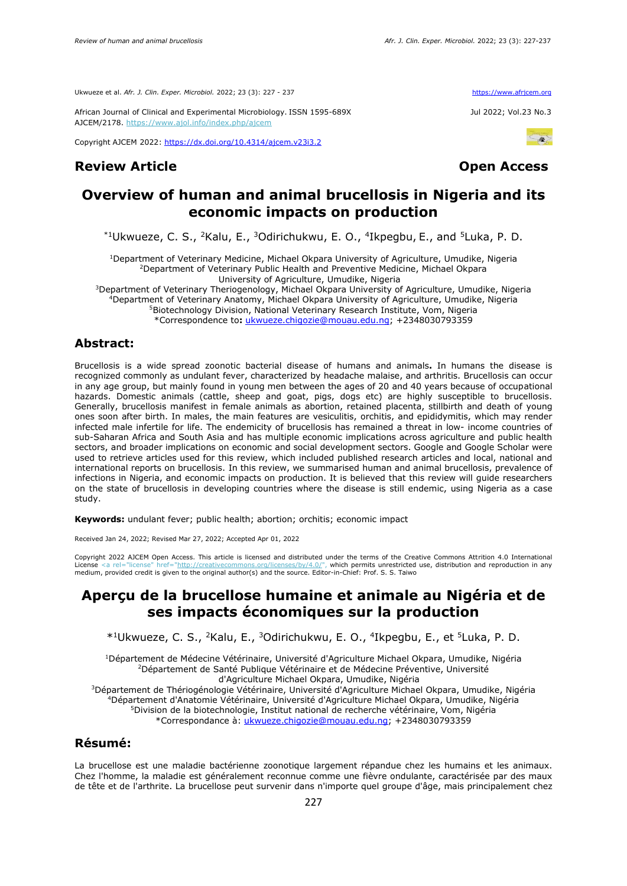Ukwueze et al. *Afr. J. Clin. Exper. Microbiol.* 2022; 23 (3): 227 - 237 https://www.africem.org/

African Journal of Clinical and Experimental Microbiology. ISSN 1595-689X Jul 2022; Vol.23 No.3 AJCEM/2178. <https://www.ajol.info/index.php/ajcem>

Copyright AJCEM 2022: <https://dx.doi.org/10.4314/ajcem.v23i3.2>

## **Review Article Contracts Access**





# **Overview of human and animal brucellosis in Nigeria and its economic impacts on production**

\*1Ukwueze, C. S., <sup>2</sup>Kalu, E., <sup>3</sup>Odirichukwu, E. O., <sup>4</sup>Ikpegbu, E., and <sup>5</sup>Luka, P. D.

<sup>1</sup>Department of Veterinary Medicine, Michael Okpara University of Agriculture, Umudike, Nigeria <sup>2</sup>Department of Veterinary Public Health and Preventive Medicine, Michael Okpara University of Agriculture, Umudike, Nigeria

Department of Veterinary Theriogenology, Michael Okpara University of Agriculture, Umudike, Nigeria Department of Veterinary Anatomy, Michael Okpara University of Agriculture, Umudike, Nigeria Biotechnology Division, National Veterinary Research Institute, Vom, Nigeria \*Correspondence to**:** [ukwueze.chigozie@mouau.edu.ng;](mailto:ukwueze.chigozie@mouau.edu.ng) +2348030793359

#### **Abstract:**

Brucellosis is a wide spread zoonotic bacterial disease of humans and animals**.** In humans the disease is recognized commonly as undulant fever, characterized by headache malaise, and arthritis. Brucellosis can occur in any age group, but mainly found in young men between the ages of 20 and 40 years because of occupational hazards. Domestic animals (cattle, sheep and goat, pigs, dogs etc) are highly susceptible to brucellosis. Generally, brucellosis manifest in female animals as abortion, retained placenta, stillbirth and death of young ones soon after birth. In males, the main features are vesiculitis, orchitis, and epididymitis, which may render infected male infertile for life. The endemicity of brucellosis has remained a threat in low- income countries of sub-Saharan Africa and South Asia and has multiple economic implications across agriculture and public health sectors, and broader implications on economic and social development sectors. Google and Google Scholar were used to retrieve articles used for this review, which included published research articles and local, national and international reports on brucellosis. In this review, we summarised human and animal brucellosis, prevalence of infections in Nigeria, and economic impacts on production. It is believed that this review will guide researchers on the state of brucellosis in developing countries where the disease is still endemic, using Nigeria as a case study.

**Keywords:** undulant fever; public health; abortion; orchitis; economic impact

Received Jan 24, 2022; Revised Mar 27, 2022; Accepted Apr 01, 2022

Copyright 2022 AJCEM Open Access. This article is licensed and distributed under the terms of the Creative Commons Attrition 4.0 International  $S/bv/4.0$ /", which permits unrestricted use, distribution and reproduction in any medium, provided credit is given to the original author(s) and the source. Editor-in-Chief: Prof. S. S. Taiwo

# **Aperçu de la brucellose humaine et animale au Nigéria et de ses impacts économiques sur la production**

\* <sup>1</sup>Ukwueze, C. S., <sup>2</sup>Kalu, E., <sup>3</sup>Odirichukwu, E. O., <sup>4</sup> Ikpegbu, E., et <sup>5</sup>Luka, P. D.

<sup>1</sup>Département de Médecine Vétérinaire, Université d'Agriculture Michael Okpara, Umudike, Nigéria <sup>2</sup>Département de Santé Publique Vétérinaire et de Médecine Préventive, Université d'Agriculture Michael Okpara, Umudike, Nigéria

<sup>3</sup>Département de Thériogénologie Vétérinaire, Université d'Agriculture Michael Okpara, Umudike, Nigéria <sup>4</sup>Département d'Anatomie Vétérinaire, Université d'Agriculture Michael Okpara, Umudike, Nigéria <sup>5</sup>Division de la biotechnologie, Institut national de recherche vétérinaire, Vom, Nigéria \*Correspondance à: [ukwueze.chigozie@mouau.edu.ng;](mailto:ukwueze.chigozie@mouau.edu.ng) +2348030793359

### **Résumé:**

La brucellose est une maladie bactérienne zoonotique largement répandue chez les humains et les animaux. Chez l'homme, la maladie est généralement reconnue comme une fièvre ondulante, caractérisée par des maux de tête et de l'arthrite. La brucellose peut survenir dans n'importe quel groupe d'âge, mais principalement chez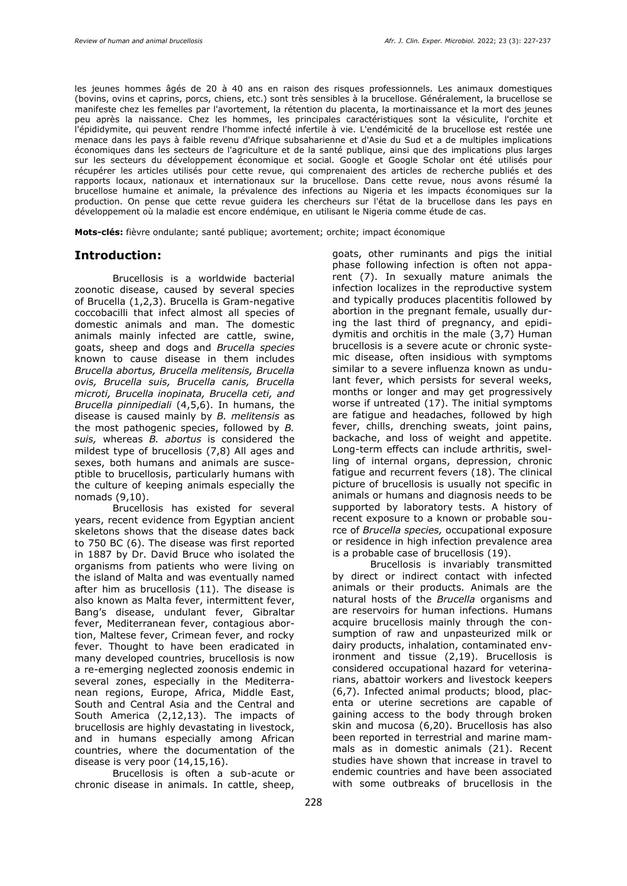les jeunes hommes âgés de 20 à 40 ans en raison des risques professionnels. Les animaux domestiques (bovins, ovins et caprins, porcs, chiens, etc.) sont très sensibles à la brucellose. Généralement, la brucellose se manifeste chez les femelles par l'avortement, la rétention du placenta, la mortinaissance et la mort des jeunes peu après la naissance. Chez les hommes, les principales caractéristiques sont la vésiculite, l'orchite et l'épididymite, qui peuvent rendre l'homme infecté infertile à vie. L'endémicité de la brucellose est restée une menace dans les pays à faible revenu d'Afrique subsaharienne et d'Asie du Sud et a de multiples implications économiques dans les secteurs de l'agriculture et de la santé publique, ainsi que des implications plus larges sur les secteurs du développement économique et social. Google et Google Scholar ont été utilisés pour récupérer les articles utilisés pour cette revue, qui comprenaient des articles de recherche publiés et des rapports locaux, nationaux et internationaux sur la brucellose. Dans cette revue, nous avons résumé la brucellose humaine et animale, la prévalence des infections au Nigeria et les impacts économiques sur la production. On pense que cette revue guidera les chercheurs sur l'état de la brucellose dans les pays en développement où la maladie est encore endémique, en utilisant le Nigeria comme étude de cas.

**Mots-clés:** fièvre ondulante; santé publique; avortement; orchite; impact économique

#### **Introduction:**

Brucellosis is a worldwide bacterial zoonotic disease, caused by several species of Brucella (1,2,3). Brucella is Gram-negative coccobacilli that infect almost all species of domestic animals and man. The domestic animals mainly infected are cattle, swine, goats, sheep and dogs and *Brucella species* known to cause disease in them includes *Brucella abortus, Brucella melitensis, Brucella ovis, Brucella suis, Brucella canis, Brucella microti, Brucella inopinata, Brucella ceti, and Brucella pinnipediali* (4,5,6). In humans, the disease is caused mainly by *B. melitensis* as the most pathogenic species, followed by *B. suis,* whereas *B. abortus* is considered the mildest type of brucellosis (7,8) All ages and sexes, both humans and animals are susceptible to brucellosis, particularly humans with the culture of keeping animals especially the nomads (9,10).

Brucellosis has existed for several years, recent evidence from Egyptian ancient skeletons shows that the disease dates back to 750 BC (6). The disease was first reported in 1887 by Dr. David Bruce who isolated the organisms from patients who were living on the island of Malta and was eventually named after him as brucellosis (11). The disease is also known as Malta fever, intermittent fever, Bang's disease, undulant fever, Gibraltar fever, Mediterranean fever, contagious abortion, Maltese fever, Crimean fever, and rocky fever. Thought to have been eradicated in many developed countries, brucellosis is now a re-emerging neglected zoonosis endemic in several zones, especially in the Mediterranean regions, Europe, Africa, Middle East, South and Central Asia and the Central and South America (2,12,13). The impacts of brucellosis are highly devastating in livestock, and in humans especially among African countries, where the documentation of the disease is very poor (14,15,16).

Brucellosis is often a sub-acute or chronic disease in animals. In cattle, sheep,

goats, other ruminants and pigs the initial phase following infection is often not apparent (7). In sexually mature animals the infection localizes in the reproductive system and typically produces placentitis followed by abortion in the pregnant female, usually during the last third of pregnancy, and epididymitis and orchitis in the male (3,7) Human brucellosis is a severe acute or chronic systemic disease, often insidious with symptoms similar to a severe influenza known as undulant fever, which persists for several weeks, months or longer and may get progressively worse if untreated (17). The initial symptoms are fatigue and headaches, followed by high fever, chills, drenching sweats, joint pains, backache, and loss of weight and appetite. Long-term effects can include arthritis, swelling of internal organs, depression, chronic fatigue and recurrent fevers (18). The clinical picture of brucellosis is usually not specific in animals or humans and diagnosis needs to be supported by laboratory tests. A history of recent exposure to a known or probable source of *Brucella species,* occupational exposure or residence in high infection prevalence area is a probable case of brucellosis (19).

Brucellosis is invariably transmitted by direct or indirect contact with infected animals or their products. Animals are the natural hosts of the *Brucella* organisms and are reservoirs for human infections. Humans acquire brucellosis mainly through the consumption of raw and unpasteurized milk or dairy products, inhalation, contaminated environment and tissue (2,19). Brucellosis is considered occupational hazard for veterinarians, abattoir workers and livestock keepers (6,7). Infected animal products; blood, placenta or uterine secretions are capable of gaining access to the body through broken skin and mucosa (6,20). Brucellosis has also been reported in terrestrial and marine mammals as in domestic animals (21). Recent studies have shown that increase in travel to endemic countries and have been associated with some outbreaks of brucellosis in the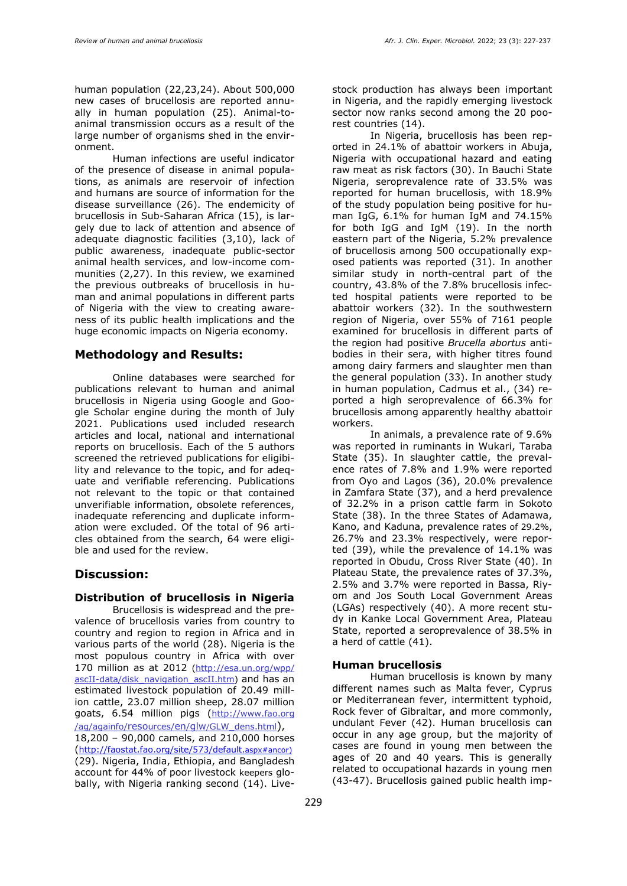human population (22,23,24). About 500,000 new cases of brucellosis are reported annually in human population (25). Animal-toanimal transmission occurs as a result of the large number of organisms shed in the environment.

Human infections are useful indicator of the presence of disease in animal populations, as animals are reservoir of infection and humans are source of information for the disease surveillance (26). The endemicity of brucellosis in Sub-Saharan Africa (15), is largely due to lack of attention and absence of adequate diagnostic facilities (3,10), lack of public awareness, inadequate public-sector animal health services, and low-income communities (2,27). In this review, we examined the previous outbreaks of brucellosis in human and animal populations in different parts of Nigeria with the view to creating awareness of its public health implications and the huge economic impacts on Nigeria economy.

#### **Methodology and Results:**

Online databases were searched for publications relevant to human and animal brucellosis in Nigeria using Google and Google Scholar engine during the month of July 2021. Publications used included research articles and local, national and international reports on brucellosis. Each of the 5 authors screened the retrieved publications for eligibility and relevance to the topic, and for adequate and verifiable referencing. Publications not relevant to the topic or that contained unverifiable information, obsolete references, inadequate referencing and duplicate information were excluded. Of the total of 96 articles obtained from the search, 64 were eligible and used for the review.

#### **Discussion:**

#### **Distribution of brucellosis in Nigeria**

Brucellosis is widespread and the prevalence of brucellosis varies from country to country and region to region in Africa and in various parts of the world (28). Nigeria is the most populous country in Africa with over 170 million as at 2012 [\(http://esa.un.org/wpp/](http://esa.un.org/wpp/) ascII-data/disk\_navigation\_ascII.htm) and has an estimated livestock population of 20.49 million cattle, 23.07 million sheep, 28.07 million goats, 6.54 million pigs ([http://www.](http://www/)fao.org /ag/againfo/resources/en/glw/GLW\_dens.html), 18,200 – 90,000 camels, and 210,000 horses ([http://faostat.fao.org/site/573/default.](http://faostat.fao.org/site/573/default.aspx#ancor) )aspx#ancor)

(29). Nigeria, India, Ethiopia, and Bangladesh account for 44% of poor livestock keepers globally, with Nigeria ranking second (14). Livestock production has always been important in Nigeria, and the rapidly emerging livestock sector now ranks second among the 20 poorest countries (14).

In Nigeria, brucellosis has been reported in 24.1% of abattoir workers in Abuja, Nigeria with occupational hazard and eating raw meat as risk factors (30). In Bauchi State Nigeria, seroprevalence rate of 33.5% was reported for human brucellosis, with 18.9% of the study population being positive for human IgG, 6.1% for human IgM and 74.15% for both IgG and IgM (19). In the north eastern part of the Nigeria, 5.2% prevalence of brucellosis among 500 occupationally exposed patients was reported (31). In another similar study in north-central part of the country, 43.8% of the 7.8% brucellosis infected hospital patients were reported to be abattoir workers (32). In the southwestern region of Nigeria, over 55% of 7161 people examined for brucellosis in different parts of the region had positive *Brucella abortus* antibodies in their sera, with higher titres found among dairy farmers and slaughter men than the general population (33). In another study in human population, Cadmus et al., (34) reported a high seroprevalence of 66.3% for brucellosis among apparently healthy abattoir workers.

In animals, a prevalence rate of 9.6% was reported in ruminants in Wukari, Taraba State (35). In slaughter cattle, the prevalence rates of 7.8% and 1.9% were reported from Oyo and Lagos (36), 20.0% prevalence in Zamfara State (37), and a herd prevalence of 32.2% in a prison cattle farm in Sokoto State (38). In the three States of Adamawa, Kano, and Kaduna, prevalence rates of 29.2%, 26.7% and 23.3% respectively, were reported (39), while the prevalence of 14.1% was reported in Obudu, Cross River State (40). In Plateau State, the prevalence rates of 37.3%, 2.5% and 3.7% were reported in Bassa, Riyom and Jos South Local Government Areas (LGAs) respectively (40). A more recent study in Kanke Local Government Area, Plateau State, reported a seroprevalence of 38.5% in a herd of cattle (41).

#### **Human brucellosis**

Human brucellosis is known by many different names such as Malta fever, Cyprus or Mediterranean fever, intermittent typhoid, Rock fever of Gibraltar, and more commonly, undulant Fever (42). Human brucellosis can occur in any age group, but the majority of cases are found in young men between the ages of 20 and 40 years. This is generally related to occupational hazards in young men (43-47). Brucellosis gained public health imp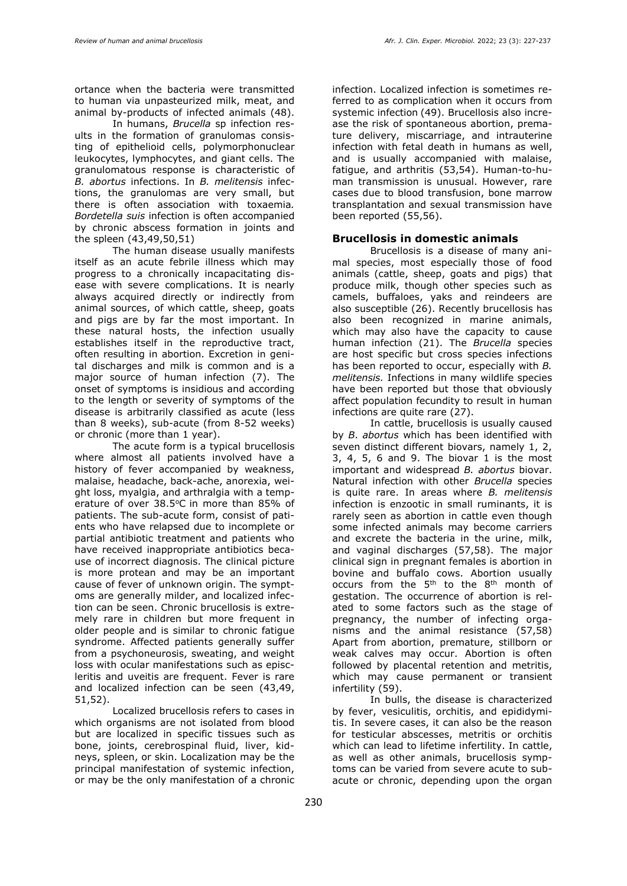ortance when the bacteria were transmitted to human via unpasteurized milk, meat, and animal by-products of infected animals (48).

In humans, *Brucella* sp infection results in the formation of granulomas consisting of epithelioid cells, polymorphonuclear leukocytes, lymphocytes, and giant cells. The granulomatous response is characteristic of *B. abortus* infections. In *B. melitensis* infections, the granulomas are very small, but there is often association with toxaemia*. Bordetella suis* infection is often accompanied by chronic abscess formation in joints and the spleen (43,49,50,51)

The human disease usually manifests itself as an acute febrile illness which may progress to a chronically incapacitating disease with severe complications. It is nearly always acquired directly or indirectly from animal sources, of which cattle, sheep, goats and pigs are by far the most important. In these natural hosts, the infection usually establishes itself in the reproductive tract, often resulting in abortion. Excretion in genital discharges and milk is common and is a major source of human infection (7). The onset of symptoms is insidious and according to the length or severity of symptoms of the disease is arbitrarily classified as acute (less than 8 weeks), sub-acute (from 8-52 weeks) or chronic (more than 1 year).

The acute form is a typical brucellosis where almost all patients involved have a history of fever accompanied by weakness, malaise, headache, back-ache, anorexia, weight loss, myalgia, and arthralgia with a temperature of over  $38.5^{\circ}$ C in more than  $85\%$  of patients. The sub-acute form, consist of patients who have relapsed due to incomplete or partial antibiotic treatment and patients who have received inappropriate antibiotics because of incorrect diagnosis. The clinical picture is more protean and may be an important cause of fever of unknown origin. The symptoms are generally milder, and localized infection can be seen. Chronic brucellosis is extremely rare in children but more frequent in older people and is similar to chronic fatigue syndrome. Affected patients generally suffer from a psychoneurosis, sweating, and weight loss with ocular manifestations such as episcleritis and uveitis are frequent. Fever is rare and localized infection can be seen (43,49, 51,52).

Localized brucellosis refers to cases in which organisms are not isolated from blood but are localized in specific tissues such as bone, joints, cerebrospinal fluid, liver, kidneys, spleen, or skin. Localization may be the principal manifestation of systemic infection, or may be the only manifestation of a chronic infection. Localized infection is sometimes referred to as complication when it occurs from systemic infection (49). Brucellosis also increase the risk of spontaneous abortion, premature delivery, miscarriage, and intrauterine infection with fetal death in humans as well, and is usually accompanied with malaise, fatigue, and arthritis (53,54). Human-to-human transmission is unusual. However, rare cases due to blood transfusion, bone marrow transplantation and sexual transmission have been reported (55,56).

#### **Brucellosis in domestic animals**

Brucellosis is a disease of many animal species, most especially those of food animals (cattle, sheep, goats and pigs) that produce milk, though other species such as camels, buffaloes, yaks and reindeers are also susceptible (26). Recently brucellosis has also been recognized in marine animals, which may also have the capacity to cause human infection (21). The *Brucella* species are host specific but cross species infections has been reported to occur, especially with *B. melitensis.* Infections in many wildlife species have been reported but those that obviously affect population fecundity to result in human infections are quite rare (27).

In cattle, brucellosis is usually caused by *B*. *abortus* which has been identified with seven distinct different biovars, namely 1, 2, 3, 4, 5, 6 and 9. The biovar 1 is the most important and widespread *B. abortus* biovar. Natural infection with other *Brucella* species is quite rare. In areas where *B. melitensis*  infection is enzootic in small ruminants, it is rarely seen as abortion in cattle even though some infected animals may become carriers and excrete the bacteria in the urine, milk, and vaginal discharges (57,58). The major clinical sign in pregnant females is abortion in bovine and buffalo cows. Abortion usually occurs from the  $5<sup>th</sup>$  to the  $8<sup>th</sup>$  month of gestation. The occurrence of abortion is related to some factors such as the stage of pregnancy, the number of infecting organisms and the animal resistance (57,58) Apart from abortion, premature, stillborn or weak calves may occur. Abortion is often followed by placental retention and metritis, which may cause permanent or transient infertility (59).

In bulls, the disease is characterized by fever, vesiculitis, orchitis, and epididymitis. In severe cases, it can also be the reason for testicular abscesses, metritis or orchitis which can lead to lifetime infertility. In cattle, as well as other animals, brucellosis symptoms can be varied from severe acute to subacute or chronic, depending upon the organ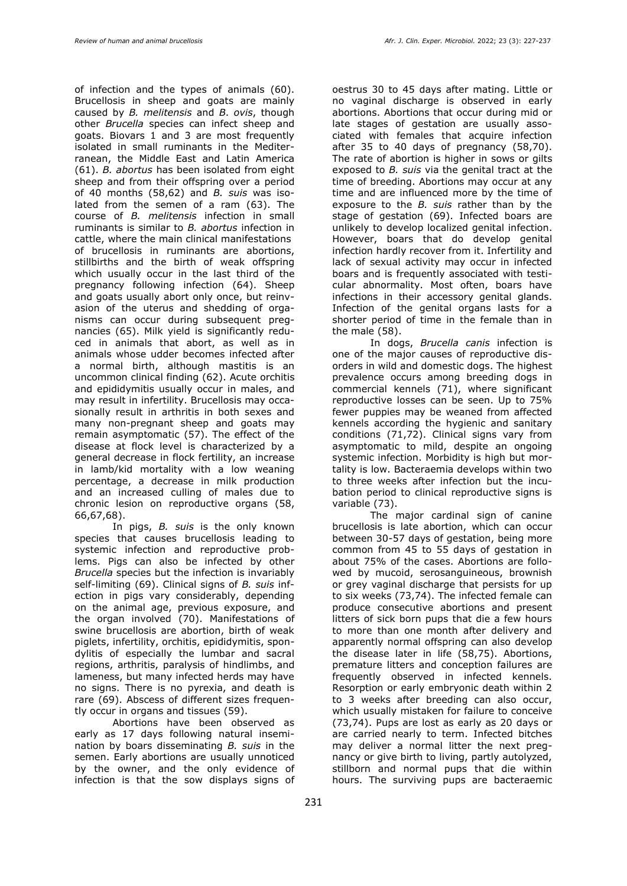of infection and the types of animals (60). Brucellosis in sheep and goats are mainly caused by *B. melitensis* and *B*. *ovis*, though other *Brucella* species can infect sheep and goats. Biovars 1 and 3 are most frequently isolated in small ruminants in the Mediterranean, the Middle East and Latin America (61). *B. abortus* has been isolated from eight sheep and from their offspring over a period of 40 months (58,62) and *B. suis* was isolated from the semen of a ram (63). The course of *B. melitensis* infection in small ruminants is similar to *B. abortus* infection in cattle, where the main clinical manifestations of brucellosis in ruminants are abortions, stillbirths and the birth of weak offspring which usually occur in the last third of the pregnancy following infection (64). Sheep and goats usually abort only once, but reinvasion of the uterus and shedding of organisms can occur during subsequent pregnancies (65). Milk yield is significantly reduced in animals that abort, as well as in animals whose udder becomes infected after a normal birth, although mastitis is an uncommon clinical finding (62). Acute orchitis and epididymitis usually occur in males, and may result in infertility. Brucellosis may occasionally result in arthritis in both sexes and many non-pregnant sheep and goats may remain asymptomatic (57). The effect of the disease at flock level is characterized by a general decrease in flock fertility, an increase in lamb/kid mortality with a low weaning percentage, a decrease in milk production and an increased culling of males due to chronic lesion on reproductive organs (58, 66,67,68).

In pigs, *B. suis* is the only known species that causes brucellosis leading to systemic infection and reproductive problems. Pigs can also be infected by other *Brucella* species but the infection is invariably self-limiting (69). Clinical signs of *B. suis* infection in pigs vary considerably, depending on the animal age, previous exposure, and the organ involved (70). Manifestations of swine brucellosis are abortion, birth of weak piglets, infertility, orchitis, epididymitis, spondylitis of especially the lumbar and sacral regions, arthritis, paralysis of hindlimbs, and lameness, but many infected herds may have no signs. There is no pyrexia, and death is rare (69). Abscess of different sizes frequently occur in organs and tissues (59).

Abortions have been observed as early as 17 days following natural insemination by boars disseminating *B. suis* in the semen. Early abortions are usually unnoticed by the owner, and the only evidence of infection is that the sow displays signs of oestrus 30 to 45 days after mating. Little or no vaginal discharge is observed in early abortions. Abortions that occur during mid or late stages of gestation are usually associated with females that acquire infection after 35 to 40 days of pregnancy (58,70). The rate of abortion is higher in sows or gilts exposed to *B. suis* via the genital tract at the time of breeding. Abortions may occur at any time and are influenced more by the time of exposure to the *B. suis* rather than by the stage of gestation (69). Infected boars are unlikely to develop localized genital infection. However, boars that do develop genital infection hardly recover from it. Infertility and lack of sexual activity may occur in infected boars and is frequently associated with testicular abnormality. Most often, boars have infections in their accessory genital glands. Infection of the genital organs lasts for a shorter period of time in the female than in the male (58).

In dogs, *Brucella canis* infection is one of the major causes of reproductive disorders in wild and domestic dogs. The highest prevalence occurs among breeding dogs in commercial kennels (71), where significant reproductive losses can be seen. Up to 75% fewer puppies may be weaned from affected kennels according the hygienic and sanitary conditions (71,72). Clinical signs vary from asymptomatic to mild, despite an ongoing systemic infection. Morbidity is high but mortality is low. Bacteraemia develops within two to three weeks after infection but the incubation period to clinical reproductive signs is variable (73).

The major cardinal sign of canine brucellosis is late abortion, which can occur between 30-57 days of gestation, being more common from 45 to 55 days of gestation in about 75% of the cases. Abortions are followed by mucoid, serosanguineous, brownish or grey vaginal discharge that persists for up to six weeks (73,74). The infected female can produce consecutive abortions and present litters of sick born pups that die a few hours to more than one month after delivery and apparently normal offspring can also develop the disease later in life (58,75). Abortions, premature litters and conception failures are frequently observed in infected kennels. Resorption or early embryonic death within 2 to 3 weeks after breeding can also occur, which usually mistaken for failure to conceive (73,74). Pups are lost as early as 20 days or are carried nearly to term. Infected bitches may deliver a normal litter the next pregnancy or give birth to living, partly autolyzed, stillborn and normal pups that die within hours. The surviving pups are bacteraemic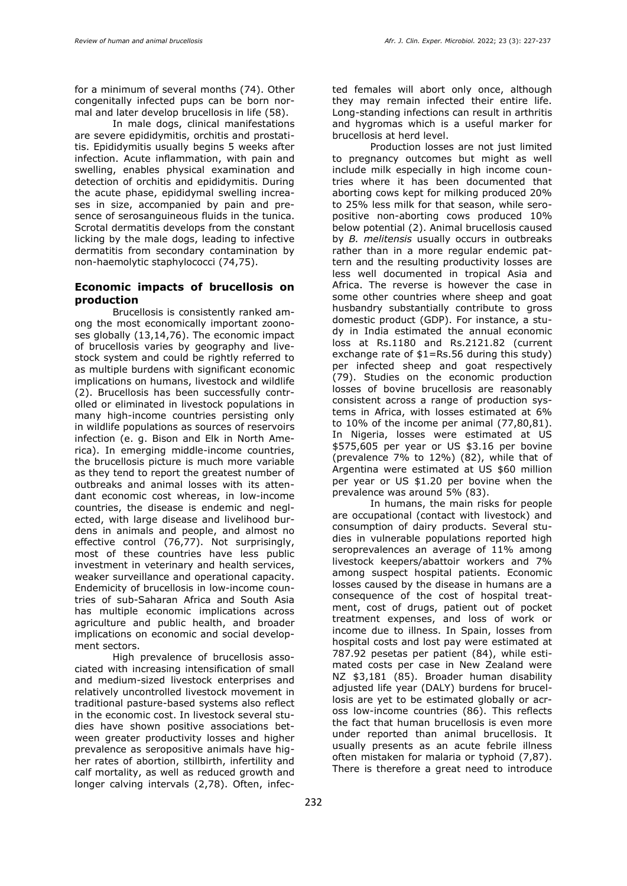for a minimum of several months (74). Other congenitally infected pups can be born normal and later develop brucellosis in life (58).

In male dogs, clinical manifestations are severe epididymitis, orchitis and prostatitis. Epididymitis usually begins 5 weeks after infection. Acute inflammation, with pain and swelling, enables physical examination and detection of orchitis and epididymitis. During the acute phase, epididymal swelling increases in size, accompanied by pain and presence of serosanguineous fluids in the tunica. Scrotal dermatitis develops from the constant licking by the male dogs, leading to infective dermatitis from secondary contamination by non-haemolytic staphylococci (74,75).

#### **Economic impacts of brucellosis on production**

Brucellosis is consistently ranked among the most economically important zoonoses globally (13,14,76). The economic impact of brucellosis varies by geography and livestock system and could be rightly referred to as multiple burdens with significant economic implications on humans, livestock and wildlife (2). Brucellosis has been successfully controlled or eliminated in livestock populations in many high-income countries persisting only in wildlife populations as sources of reservoirs infection (e. g. Bison and Elk in North America). In emerging middle-income countries, the brucellosis picture is much more variable as they tend to report the greatest number of outbreaks and animal losses with its attendant economic cost whereas, in low-income countries, the disease is endemic and neglected, with large disease and livelihood burdens in animals and people, and almost no effective control (76,77). Not surprisingly, most of these countries have less public investment in veterinary and health services, weaker surveillance and operational capacity. Endemicity of brucellosis in low-income countries of sub-Saharan Africa and South Asia has multiple economic implications across agriculture and public health, and broader implications on economic and social development sectors.

High prevalence of brucellosis associated with increasing intensification of small and medium-sized livestock enterprises and relatively uncontrolled livestock movement in traditional pasture-based systems also reflect in the economic cost. In livestock several studies have shown positive associations between greater productivity losses and higher prevalence as seropositive animals have higher rates of abortion, stillbirth, infertility and calf mortality, as well as reduced growth and longer calving intervals (2,78). Often, infected females will abort only once, although they may remain infected their entire life. Long-standing infections can result in arthritis and hygromas which is a useful marker for brucellosis at herd level.

Production losses are not just limited to pregnancy outcomes but might as well include milk especially in high income countries where it has been documented that aborting cows kept for milking produced 20% to 25% less milk for that season, while seropositive non-aborting cows produced 10% below potential (2). Animal brucellosis caused by *B. melitensis* usually occurs in outbreaks rather than in a more regular endemic pattern and the resulting productivity losses are less well documented in tropical Asia and Africa. The reverse is however the case in some other countries where sheep and goat husbandry substantially contribute to gross domestic product (GDP). For instance, a study in India estimated the annual economic loss at Rs.1180 and Rs.2121.82 (current exchange rate of \$1=Rs.56 during this study) per infected sheep and goat respectively (79). Studies on the economic production losses of bovine brucellosis are reasonably consistent across a range of production systems in Africa, with losses estimated at 6% to 10% of the income per animal (77,80,81). In Nigeria, losses were estimated at US \$575,605 per year or US \$3.16 per bovine (prevalence 7% to 12%) (82), while that of Argentina were estimated at US \$60 million per year or US \$1.20 per bovine when the prevalence was around 5% (83).

In humans, the main risks for people are occupational (contact with livestock) and consumption of dairy products. Several studies in vulnerable populations reported high seroprevalences an average of 11% among livestock keepers/abattoir workers and 7% among suspect hospital patients. Economic losses caused by the disease in humans are a consequence of the cost of hospital treatment, cost of drugs, patient out of pocket treatment expenses, and loss of work or income due to illness. In Spain, losses from hospital costs and lost pay were estimated at 787.92 pesetas per patient (84), while estimated costs per case in New Zealand were NZ \$3,181 (85). Broader human disability adjusted life year (DALY) burdens for brucellosis are yet to be estimated globally or across low-income countries (86). This reflects the fact that human brucellosis is even more under reported than animal brucellosis. It usually presents as an acute febrile illness often mistaken for malaria or typhoid (7,87). There is therefore a great need to introduce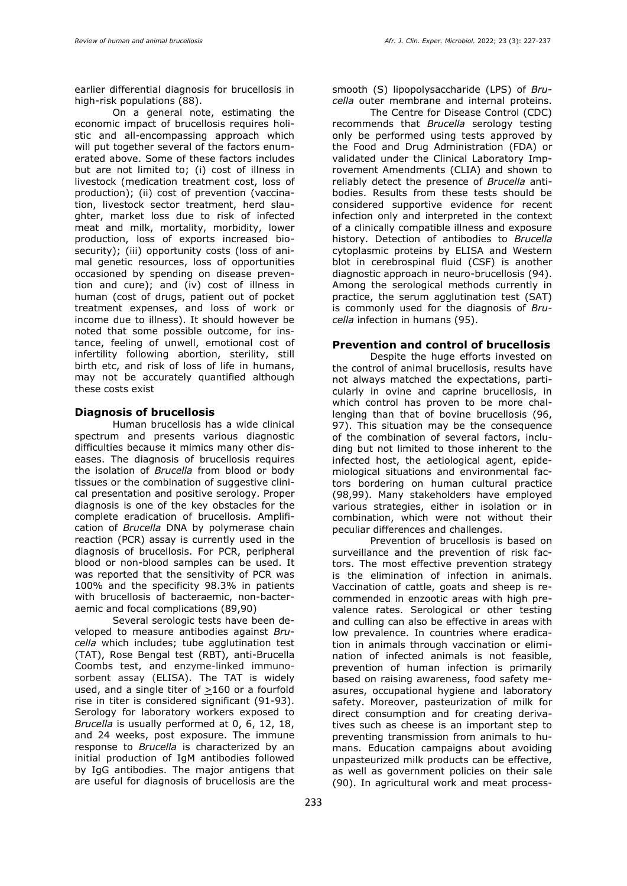earlier differential diagnosis for brucellosis in high-risk populations (88).

On a general note, estimating the economic impact of brucellosis requires holistic and all-encompassing approach which will put together several of the factors enumerated above. Some of these factors includes but are not limited to; (i) cost of illness in livestock (medication treatment cost, loss of production); (ii) cost of prevention (vaccination, livestock sector treatment, herd slaughter, market loss due to risk of infected meat and milk, mortality, morbidity, lower production, loss of exports increased biosecurity); (iii) opportunity costs (loss of animal genetic resources, loss of opportunities occasioned by spending on disease prevention and cure); and (iv) cost of illness in human (cost of drugs, patient out of pocket treatment expenses, and loss of work or income due to illness). It should however be noted that some possible outcome, for instance, feeling of unwell, emotional cost of infertility following abortion, sterility, still birth etc, and risk of loss of life in humans, may not be accurately quantified although these costs exist

#### **Diagnosis of brucellosis**

Human brucellosis has a wide clinical spectrum and presents various diagnostic difficulties because it mimics many other diseases. The diagnosis of brucellosis requires the isolation of *Brucella* from blood or body tissues or the combination of suggestive clinical presentation and positive serology. Proper diagnosis is one of the key obstacles for the complete eradication of brucellosis. Amplification of *Brucella* DNA by polymerase chain reaction (PCR) assay is currently used in the diagnosis of brucellosis. For PCR, peripheral blood or non-blood samples can be used. It was reported that the sensitivity of PCR was 100% and the specificity 98.3% in patients with brucellosis of bacteraemic, non-bacteraemic and focal complications (89,90)

Several serologic tests have been developed to measure antibodies against *Brucella* which includes; tube agglutination test (TAT), Rose Bengal test (RBT), anti-Brucella Coombs test, and enzyme-linked immunosorbent assay (ELISA). The TAT is widely used, and a single titer of  $\geq$ 160 or a fourfold rise in titer is considered significant (91-93). Serology for laboratory workers exposed to *Brucella* is usually performed at 0, 6, 12, 18, and 24 weeks, post exposure. The immune response to *Brucella* is characterized by an initial production of IgM antibodies followed by IgG antibodies. The major antigens that are useful for diagnosis of brucellosis are the smooth (S) lipopolysaccharide (LPS) of *Brucella* outer membrane and internal proteins.

The Centre for Disease Control (CDC) recommends that *Brucella* serology testing only be performed using tests approved by the Food and Drug Administration (FDA) or validated under the Clinical Laboratory Improvement Amendments (CLIA) and shown to reliably detect the presence of *Brucella* antibodies. Results from these tests should be considered supportive evidence for recent infection only and interpreted in the context of a clinically compatible illness and exposure history. Detection of antibodies to *Brucella*  cytoplasmic proteins by ELISA and Western blot in cerebrospinal fluid (CSF) is another diagnostic approach in neuro-brucellosis (94). Among the serological methods currently in practice, the serum agglutination test (SAT) is commonly used for the diagnosis of *Brucella* infection in humans (95).

# **Prevention and control of brucellosis**

Despite the huge efforts invested on the control of animal brucellosis, results have not always matched the expectations, particularly in ovine and caprine brucellosis, in which control has proven to be more challenging than that of bovine brucellosis (96, 97). This situation may be the consequence of the combination of several factors, including but not limited to those inherent to the infected host, the aetiological agent, epidemiological situations and environmental factors bordering on human cultural practice (98,99). Many stakeholders have employed various strategies, either in isolation or in combination, which were not without their peculiar differences and challenges.

Prevention of brucellosis is based on surveillance and the prevention of risk factors. The most effective prevention strategy is the elimination of infection in animals. Vaccination of cattle, goats and sheep is recommended in enzootic areas with high prevalence rates. Serological or other testing and culling can also be effective in areas with low prevalence. In countries where eradication in animals through vaccination or elimination of infected animals is not feasible, prevention of human infection is primarily based on raising awareness, food safety measures, occupational hygiene and laboratory safety. Moreover, pasteurization of milk for direct consumption and for creating derivatives such as cheese is an important step to preventing transmission from animals to humans. Education campaigns about avoiding unpasteurized milk products can be effective, as well as government policies on their sale (90). In agricultural work and meat process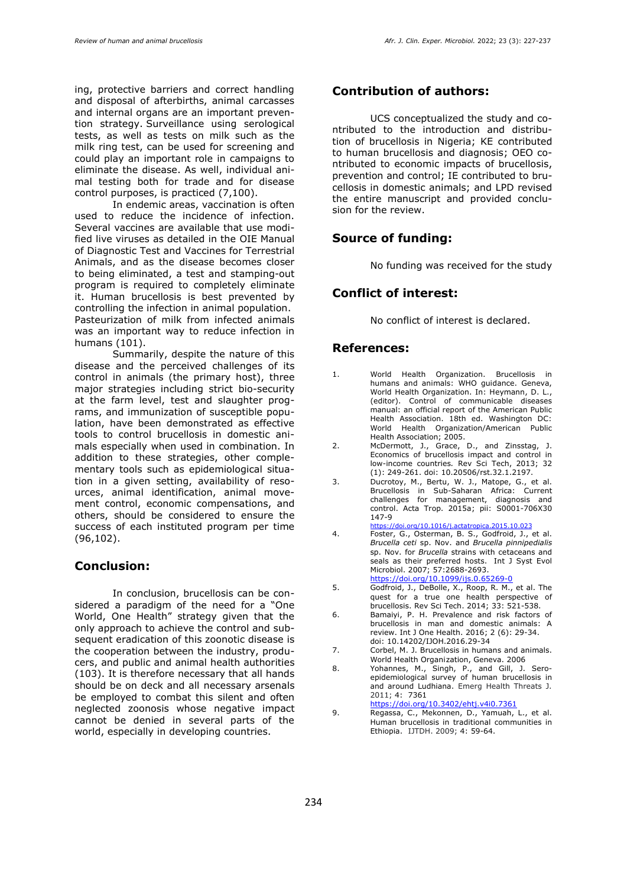ing, protective barriers and correct handling and disposal of afterbirths, animal carcasses and internal organs are an important prevention strategy. Surveillance using serological tests, as well as tests on milk such as the milk ring test, can be used for screening and could play an important role in campaigns to eliminate the disease. As well, individual animal testing both for trade and for disease control purposes, is practiced (7,100).

In endemic areas, vaccination is often used to reduce the incidence of infection. Several vaccines are available that use modified live viruses as detailed in the [OIE Manual](https://www.oie.int/app/uploads/2021/03/3-01-04-brucellosis-1.pdf)  [of Diagnostic Test and Vaccines for Terrestrial](https://www.oie.int/app/uploads/2021/03/3-01-04-brucellosis-1.pdf)  [Animals,](https://www.oie.int/app/uploads/2021/03/3-01-04-brucellosis-1.pdf) and as the disease becomes closer to being eliminated, a test and stamping-out program is required to completely eliminate it. Human brucellosis is best prevented by controlling the infection in animal population. Pasteurization of milk from infected animals was an important way to reduce infection in humans (101).

Summarily, despite the nature of this disease and the perceived challenges of its control in animals (the primary host), three major strategies including strict bio-security at the farm level, test and slaughter programs, and immunization of susceptible population, have been demonstrated as effective tools to control brucellosis in domestic animals especially when used in combination. In addition to these strategies, other complementary tools such as epidemiological situation in a given setting, availability of resources, animal identification, animal movement control, economic compensations, and others, should be considered to ensure the success of each instituted program per time (96,102).

#### **Conclusion:**

In conclusion, brucellosis can be considered a paradigm of the need for a "One World, One Health" strategy given that the only approach to achieve the control and subsequent eradication of this zoonotic disease is the cooperation between the industry, producers, and public and animal health authorities (103). It is therefore necessary that all hands should be on deck and all necessary arsenals be employed to combat this silent and often neglected zoonosis whose negative impact cannot be denied in several parts of the world, especially in developing countries.

#### **Contribution of authors:**

UCS conceptualized the study and contributed to the introduction and distribution of brucellosis in Nigeria; KE contributed to human brucellosis and diagnosis; OEO contributed to economic impacts of brucellosis, prevention and control; IE contributed to brucellosis in domestic animals; and LPD revised the entire manuscript and provided conclusion for the review.

#### **Source of funding:**

No funding was received for the study

## **Conflict of interest:**

No conflict of interest is declared.

#### **References:**

- 1. World Health Organization. Brucellosis in humans and animals: WHO guidance. Geneva, World Health Organization. In: Heymann, D. L., (editor). Control of communicable diseases manual: an official report of the American Public Health Association. 18th ed. Washington DC: World Health Organization/American Public Health Association; 2005.
- 2. McDermott, J., Grace, D., and Zinsstag, J. Economics of brucellosis impact and control in low-income countries*.* Rev Sci Tech, 2013; 32 (1): 249-261. doi: 10.20506/rst.32.1.2197.
- 3. Ducrotoy, M., Bertu, W. J., Matope, G., et al. Brucellosis in Sub-Saharan Africa: Current challenges for management, diagnosis and control. Acta Trop. 2015a; pii: S0001-706X30 147-9 <https://doi.org/10.1016/j.actatropica.2015.10.023>
- 4. Foster, G., Osterman, B. S., Godfroid, J., et al. *Brucella ceti* sp. Nov. and *Brucella pinnipedialis* sp. Nov. for *Brucella* strains with cetaceans and seals as their preferred hosts. Int J Syst Evol Microbiol. 2007; 57:2688-2693. <https://doi.org/10.1099/ijs.0.65269-0>
- 5. Godfroid, J., DeBolle, X., Roop, R. M., et al. The quest for a true one health perspective of brucellosis. Rev Sci Tech. 2014; 33: 521-538.
- 6. Bamaiyi, P. H. Prevalence and risk factors of brucellosis in man and domestic animals: A review. Int J One Health. 2016; 2 (6): 29-34. doi: [10.14202/IJOH.2016.29-34](http://dx.doi.org/10.14202/IJOH.2016.29-34)
- 7. Corbel, M. J. Brucellosis in humans and animals. World Health Organization, Geneva. 2006
- 8. Yohannes, M., Singh, P., and Gill, J. Seroepidemiological survey of human brucellosis in and around Ludhiana. Emerg Health Threats J. 2011; 4: 7361
- <https://doi.org/10.3402/ehtj.v4i0.7361>
- 9. Regassa, C., Mekonnen, D., Yamuah, L., et al. Human brucellosis in traditional communities in Ethiopia. IJTDH. 2009; 4: 59-64.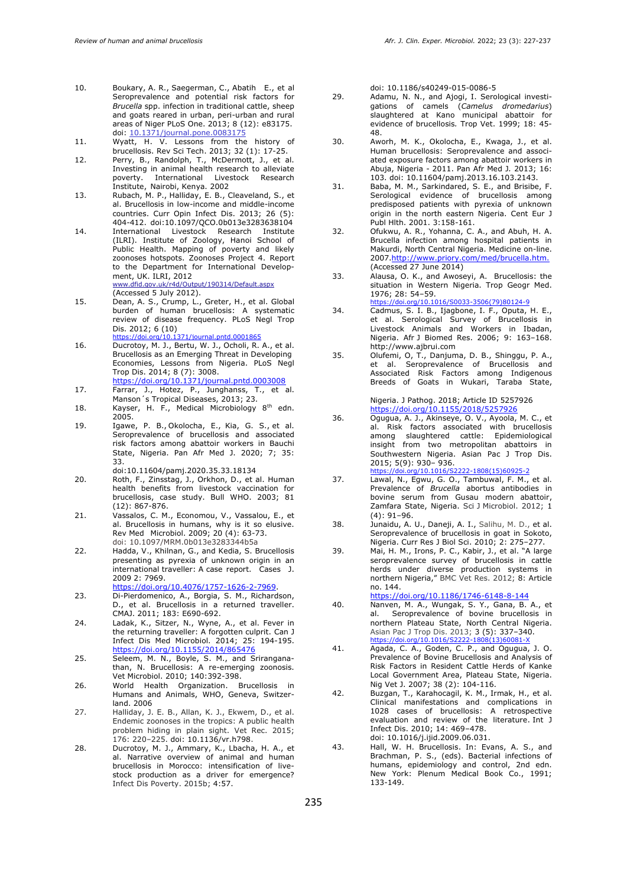- 10. Boukary, A. R., Saegerman, C., Abatih E., et al Seroprevalence and potential risk factors for *Brucella* spp. infection in traditional cattle, sheep and goats reared in urban, peri-urban and rural areas of Niger PLoS One. 2013; 8 (12): e83175. doi: [10.1371/journal.pone.0083175](https://dx.doi.org/10.1371%2Fjournal.pone.0083175)
- 11. Wyatt, H. V. Lessons from the history of brucellosis. Rev Sci Tech. 2013; 32 (1): 17-25.
- 12. Perry, B., Randolph, T., McDermott, J., et al. Investing in animal health research to alleviate poverty. International Livestock Research Institute, Nairobi, Kenya. 2002
- 13. [Rubach,](https://pubmed.ncbi.nlm.nih.gov/?term=Rubach+MP&cauthor_id=23963260) M. P., [Halliday,](https://pubmed.ncbi.nlm.nih.gov/?term=Halliday+JE&cauthor_id=23963260) E. B., Cleav[eland,](https://pubmed.ncbi.nlm.nih.gov/?term=Cleaveland+S&cauthor_id=23963260) S., et al. Brucellosis in low-income and middle-income countries. Curr Opin Infect Dis. 2013; 26 (5): 404-412. doi:10.1097/QCO.0b013e3283638104
- 14. International Livestock Research Institute (ILRI). Institute of Zoology, Hanoi School of Public Health. Mapping of poverty and likely zoonoses hotspots. Zoonoses Project 4. Report to the Department for International Development, UK. ILRI, 2012 www.dfid.gov.uk/r4d/Output/190314/Default.aspx
- (Accessed 5 July 2012). 15. Dean, A. S., Crump, L., Greter, H., et al. Global burden of human brucellosis: A systematic review of disease frequency. PLoS Negl Trop Dis. 2012; 6 (10) https://doi.org/10.1371/journal.pntd.00018
- 16. Ducrotoy, M. J., Bertu, W. J., Ocholi, R. A., et al. Brucellosis as an Emerging Threat in Developing Economies, Lessons from Nigeria. PLoS Negl Trop Dis. 2014; 8 (7): 3008. <https://doi.org/10.1371/journal.pntd.0003008>
- 17. Farrar, J., Hotez, P., Junghanss, T., et al. Manson´s Tropical Diseases, 2013; 23.
- 18. Kayser, H. F., Medical Microbiology 8<sup>th</sup> edn. 2005.
- 19. [Igawe,](https://pubmed.ncbi.nlm.nih.gov/?term=Igawe+PB&cauthor_id=32537048) P. B., [Okolocha,](https://pubmed.ncbi.nlm.nih.gov/?term=Okolocha+E&cauthor_id=32537048) E., [Kia,](https://pubmed.ncbi.nlm.nih.gov/?term=Kia+GS&cauthor_id=32537048) G. S., et al. Seroprevalence of brucellosis and associated risk factors among abattoir workers in Bauchi State, Nigeria. Pan Afr Med J. 2020; 7; 35: 33. doi:10.11604/pamj.2020.35.33.18134
- 20. Roth, F., Zinsstag, J., Orkhon, D., et al. Human health benefits from livestock vaccination for brucellosis, case study. Bull WHO. 2003; 81 (12): 867-876.
- 21. Vassalos, C. M., Economou, V., Vassalou, E., et al. Brucellosis in humans, why is it so elusive. Rev Med Microbiol. 2009; 20 (4): 63-73. doi: 10.1097/MRM.0b013e3283344b5a
- 22. Hadda, V., Khilnan, G., and Kedia, S. Brucellosis presenting as pyrexia of unknown origin in an international traveller: A case report. Cases J. 2009 2: 7969.
- [https://doi.org/10.4076/1757-1626-2-7969.](https://doi.org/10.4076/1757-1626-2-7969) 23. Di-Pierdomenico, A., Borgia, S. M., Richardson,
- D., et al. Brucellosis in a returned traveller. CMAJ. 2011; 183: E690-692.
- 24. Ladak, K., Sitzer, N., Wyne, A., et al. Fever in the returning traveller: A forgotten culprit. Can J Infect Dis Med Microbiol. 2014; 25: 194-195. <https://doi.org/10.1155/2014/865476>
- 25. Seleem, M. N., Boyle, S. M., and Sriranganathan, N. Brucellosis: A re-emerging zoonosis. Vet Microbiol. 2010; 140:392-398.
- 26. World Health Organization. Brucellosis in Humans and Animals, WHO, Geneva, Switzerland. 2006
- 27. Halliday, J. E. B., Allan, K. J., Ekwem, D., et al. Endemic zoonoses in the tropics: A public health problem hiding in plain sight. Vet Rec. 2015; 176: 220–225. doi: 10.1136/vr.h798.
- 28. Ducrotoy, M. J., Ammary, K., Lbacha, H. A., et al. Narrative overview of animal and human brucellosis in Morocco: intensification of livestock production as a driver for emergence? Infect Dis Poverty. 2015b; 4:57.

doi: 10.1186/s40249-015-0086-5

- 29. Adamu, N. N., and Ajogi, I. Serological investigations of camels (*Camelus dromedarius*) slaughtered at Kano municipal abattoir for evidence of brucellosis*.* Trop Vet. 1999; 18: 45- 48.
- 30. Aworh, M. K., Okolocha, E., Kwaga, J., et al. Human brucellosis: Seroprevalence and associated exposure factors among abattoir workers in Abuja, Nigeria - 2011. Pan Afr Med J*.* 2013; 16: 103. doi: 10.11604/pamj.2013.16.103.2143.
- 31. Baba, M. M., Sarkindared, S. E., and Brisibe, F. Serological evidence of brucellosis among predisposed patients with pyrexia of unknown origin in the north eastern Nigeria. Cent Eur J Publ Hlth. 2001. 3:158-161.
- 32. Ofukwu, A. R., Yohanna, C. A., and Abuh, H. A. Brucella infection among hospital patients in Makurdi, North Central Nigeria. Medicine on-line. 2007[.http://www.priory.com/med/brucella.htm.](http://www.priory.com/med/brucella.htm.)  (Accessed 27 June 2014)
- 33. Alausa, O. K., and Awoseyi, A. Brucellosis: the situation in Western Nigeria. Trop Geogr Med. 1976; 28: 54–59. [https://doi.org/10.1016/S0033-3506\(79\)80124-9](https://doi.org/10.1016/S0033-3506(79)80124-9)
- 34. Cadmus, S. I. B., Ijagbone, I. F., Oputa, H. E., et al. Serological Survey of Brucellosis in
- Livestock Animals and Workers in Ibadan, Nigeria. Afr J Biomed Res. 2006; 9: 163–168. http://www.ajbrui.com 35. Olufemi, O, T., Danjuma, D. B., Shinggu, P. A.,
- et al. Seroprevalence of Brucellosis and Associated Risk Factors among Indigenous Breeds of Goats in Wukari, Taraba State,

Nigeria. J Pathog. 2018; Article ID 5257926 <https://doi.org/10.1155/2018/5257926>

- 36. Ogugua, A. J., Akinseye, O. V., Ayoola, M. C., et al. Risk factors associated with brucellosis among slaughtered cattle: Epidemiological insight from two metropolitan abattoirs in Southwestern Nigeria. Asian Pac J Trop Dis. 2015; 5(9): 930– 936. https://doi.org/10.1016/S2222-1808(15)60925
- 37. Lawal, N., Egwu, G. O., Tambuwal, F. M., et al. Prevalence of *Brucella* abortus antibodies in bovine serum from Gusau modern abattoir, Zamfara State, Nigeria. Sci J Microbiol. 2012; 1  $(4): 91-96.$
- 38. Junaidu, A. U., Daneji, A. I., Salihu, M. D., et al. Seroprevalence of brucellosis in goat in Sokoto, Nigeria. Curr Res J Biol Sci. 2010; 2: 275–277.
- 39. Mai, H. M., Irons, P. C., Kabir, J., et al. "A large seroprevalence survey of brucellosis in cattle herds under diverse production systems in northern Nigeria," BMC Vet Res. 2012; 8: Article no. 144.

<https://doi.org/10.1186/1746-6148-8-144>

- 40. Nanven, M. A., Wungak, S. Y., Gana, B. A., et al. Seroprevalence of bovine brucellosis in northern Plateau State, North Central Nigeria. Asian Pac J Trop Dis. 2013; 3 (5): 337–340.
- [https://doi.org/10.1016/S2222-1808\(13\)60081-X](https://doi.org/10.1016/S2222-1808(13)60081-X%2060081-X)<br>41. Agada, C. A., Goden, C. P., and Ogugua, J. O. Prevalence of Bovine Brucellosis and Analysis of Risk Factors in Resident Cattle Herds of Kanke Local Government Area, Plateau State, Nigeria. Nig Vet J. 2007; 38 (2): 104-116.
- 42. Buzgan, T., Karahocagil, K. M., Irmak, H., et al. Clinical manifestations and complications in 1028 cases of brucellosis: A retrospective evaluation and review of the literature. Int J Infect Dis. 2010; 14: 469–478. doi: 10.1016/j.ijid.2009.06.031.
- 43. Hall, W. H. Brucellosis. In: Evans, A. S., and Brachman, P. S., (eds). Bacterial infections of humans, epidemiology and control, 2nd edn. New York: Plenum Medical Book Co., 1991; 133-149.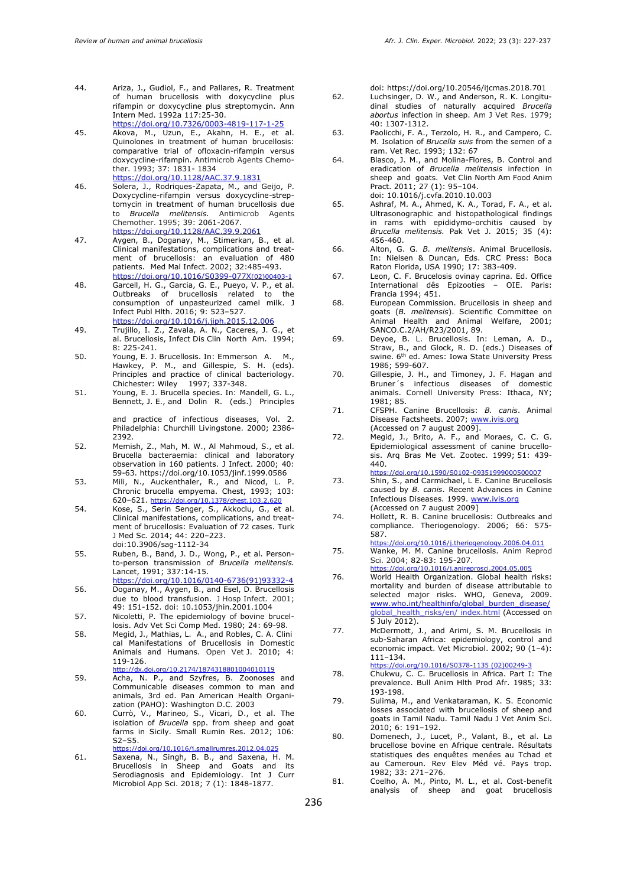- 44. Ariza, J., Gudiol, F., and Pallares, R. Treatment of human brucellosis with doxycycline plus rifampin or doxycycline plus streptomycin. Ann Intern Med. 1992a 117:25-30. <https://doi.org/10.7326/0003-4819-117-1-25>
- 45. Akova, M., Uzun, E., Akahn, H. E., et al. Quinolones in treatment of human brucellosis: comparative trial of ofloxacin-rifampin versus doxycycline-rifampin. Antimicrob Agents Chemother. 1993; 37: 1831- 1834 <https://doi.org/10.1128/AAC.37.9.1831>
- 46. Solera, J., Rodriques-Zapata, M., and Geijo, P. Doxycycline-rifampin versus doxycycline-streptomycin in treatment of human brucellosis due to *Brucella melitensis.* Antimicrob Agents Chemother. 1995; 39: 2061-2067. <https://doi.org/10.1128/AAC.39.9.2061>
- 47. Aygen, B., Doganay, M., Stimerkan, B., et al. Clinical manifestations, complications and treatment of brucellosis: an evaluation of 480 patients. Med Mal Infect. 2002; 32:485-493. [https://doi.org/10.1016/S0399-077X](https://doi.org/10.1016/S0399-077X(02)00403-1)(02)00403[-1](https://doi.org/10.1016/S0399-077X(02)00403-1)
- 48. Garcell, H. G., Garcia, G. E., Pueyo, V. P., et al. Outbreaks of brucellosis related to the consumption of unpasteurized camel milk. J Infect Publ Hlth. 2016; 9: 523–527. <https://doi.org/10.1016/j.jiph.2015.12.006>
- 49. Trujillo, I. Z., Zavala, A. N., Caceres, J. G., et al. Brucellosis, Infect Dis Clin North Am. 1994; 8: 225-241.
- 50. Young, E. J. Brucellosis. In: Emmerson A. Hawkey, P. M., and Gillespie, S. H. (eds). Principles and practice of clinical bacteriology. Chichester: Wiley 1997; 337-348.
- 51. Young, E. J. Brucella species. In: Mandell, G. L., Bennett, J. E., and Dolin R. (eds.) Principles

and practice of infectious diseases, Vol. 2. Philadelphia: Churchill Livingstone. 2000; 2386- 2392.

- 52. Memish, Z., Mah, M. W., Al Mahmoud, S., et al. Brucella bacteraemia: clinical and laboratory observation in 160 patients. J Infect. 2000; 40: 59-63.<https://doi.org/10.1053/jinf.1999.0586>
- 53. Mili, N., Auckenthaler, R., and Nicod, L. P. Chronic brucella empyema. Chest, 1993; 103: 620–621. <https://doi.org/10.1378/chest.103.2.620>
- 54. Kose, S., Serin Senger, S., Akkoclu, G., et al. Clinical manifestations, complications, and treatment of brucellosis: Evaluation of 72 cases. Turk J Med Sc. 2014; 44: 220–223. doi:10.3906/sag-1112-34
- 55. Ruben, B., Band, J. D., Wong, P., et al. Personto-person transmission of *Brucella melitensis.* Lancet, 1991; 337:14-15. [https://doi.org/10.1016/0140-6736\(91\)93332-4](https://doi.org/10.1016/0140-6736(91)93332-4)
- 56. Doganay, M., Aygen, B., and Esel, D. Brucellosis due to blood transfusion. J Hosp Infect. 2001; 49: 151-152. doi: 10.1053/jhin.2001.1004
- 57. Nicoletti, P. The epidemiology of bovine brucellosis. Adv Vet Sci Comp Med. 1980; 24: 69-98.
- 58. Megid, J., Mathias, L. A., and Robles, C. A. Clini cal Manifestations of Brucellosis in Domestic Animals and Humans. Open Vet J. 2010; 4: 119-126.
- <http://dx.doi.org/10.2174/1874318801004010119> 59. Acha, N. P., and Szyfres, B. Zoonoses and Communicable diseases common to man and animals, 3rd ed. Pan American Health Organization (PAHO): Washington D.C. 2003
- 60. Currò, V., Marineo, S., Vicari, D., et al. The isolation of *Brucella* spp. from sheep and goat farms in Sicily. Small Rumin Res. 2012; 106: S2–S5.
- <https://doi.org/10.1016/j.smallrumres.2012.04.025> 61. Saxena, N., Singh, B. B., and Saxena, H. M. Brucellosis in Sheep and Goats and its Serodiagnosis and Epidemiology. Int J Curr Microbiol App Sci. 2018; 7 (1): 1848-1877.

doi: [https://doi.org/10.20546/ijcmas.2018.701](https://doi.org/10.20546/ijcmas.2018.701.225)

- 62. Luchsinger, D. W., and Anderson, R. K. Longitudinal studies of naturally acquired *Brucella abortus* infection in sheep. Am J Vet Res. 1979; 40: 1307-1312.
- 63. Paolicchi, F. A., Terzolo, H. R., and Campero, C. M. Isolation of *Brucella suis* from the semen of a ram. Vet Rec. 1993; 132: 67
- 64. Blasco, J. M., and Molina-Flores, B. Control and eradication of *Brucella melitensis* infection in sheep and goats. Vet Clin North Am Food Anim Pract. 2011; 27 (1): 95–104. doi: [10.1016/j.cvfa.2010.10.003](http://dx.doi.org/10.1016/j.cvfa.2010.10.003)
- 65. Ashraf, M. A., Ahmed, K. A., Torad, F. A., et al. Ultrasonographic and histopathological findings in rams with epididymo-orchitis caused by *Brucella melitensis.* Pak Vet J. 2015; 35 (4): 456-460.
- 66. Alton, G. G. *B. melitensis*. Animal Brucellosis. In: Nielsen & Duncan, Eds. CRC Press: Boca Raton Florida, USA 1990; 17: 383-409.
- 67. Leon, C. F. Brucelosis ovinay caprina. Ed. Office International dês Epizooties – OIE. Paris: Francia 1994; 451.
- 68. European Commission. Brucellosis in sheep and goats (*B. melitensis*). Scientific Committee on Animal Health and Animal Welfare, 2001; SANCO.C.2/AH/R23/2001, 89.
- 69. Deyoe, B. L. Brucellosis. In: Leman, A. D., Straw, B., and Glock, R. D. (eds.) Diseases of swine. 6<sup>th</sup> ed. Ames: Iowa State University Press 1986; 599-607.
- 70. Gillespie, J. H., and Timoney, J. F. Hagan and Bruner´s infectious diseases of domestic animals. Cornell University Press: Ithaca, NY; 1981; 85.
- 71. CFSPH. Canine Brucellosis: *B. canis*. Animal Disease Factsheets. 2007; [www.ivis.org](http://www.ivis.org/) (Accessed on 7 august 2009].
- 72. Megid, J., Brito, A. F., and Moraes, C. C. G. Epidemiological assessment of canine brucellosis. Arq Bras Me Vet. Zootec. 1999; 51: 439- 440. <https://doi.org/10.1590/S0102-09351999000500007>
- 73. Shin, S., and Carmichael, L E. Canine Brucellosis caused by *B. canis*. Recent Advances in Canine Infectious Diseases. 1999. [www.ivis.org](http://www.ivis.org/) (Accessed on 7 august 2009]
- 74. Hollett, R. B. Canine brucellosis: Outbreaks and compliance. Theriogenology. 2006; 66: 575- 587.
- <https://doi.org/10.1016/j.theriogenology.2006.04.011> 75. Wanke, M. M. Canine brucellosis. Anim Reprod Sci. 2004; 82-83: 195-207.
- <https://doi.org/10.1016/j.anireprosci.2004.05.005> 76. World Health Organization. Global health risks: mortality and burden of disease attributable to selected major risks. WHO, Geneva, 2009. [www.who.int/healthinfo/global\\_burden\\_disease/](http://www.who.int/healthinfo/global_burden_disease/) global\_health\_risks/en/ index.html (Accessed on 5 July 2012).
- 77. McDermott, J., and Arimi, S. M. Brucellosis in sub-Saharan Africa: epidemiology, control and economic impact. Vet Microbiol. 2002; 90 (1–4): 111–134.
	- [https://doi.org/10.1016/S0378-1135](https://doi.org/10.1016/S0378-1135%20(02)00249-3) (02)00249-3
- 78. Chukwu, C. C. Brucellosis in Africa. Part I: The prevalence. Bull Anim Hlth Prod Afr. 1985; 33: 193-198.
- 79. Sulima, M., and Venkataraman, K. S. Economic losses associated with brucellosis of sheep and goats in Tamil Nadu. Tamil Nadu J Vet Anim Sci. 2010; 6: 191–192.
- 80. Domenech, J., Lucet, P., Valant, B., et al. La brucellose bovine en Afrique centrale. Résultats statistiques des enquêtes menées au Tchad et au Cameroun. Rev Elev Méd vé. Pays trop. 1982; 33: 271–276.
- 81. Coelho, A. M., Pinto, M. L., et al. Cost-benefit analysis of sheep and goat brucellosis